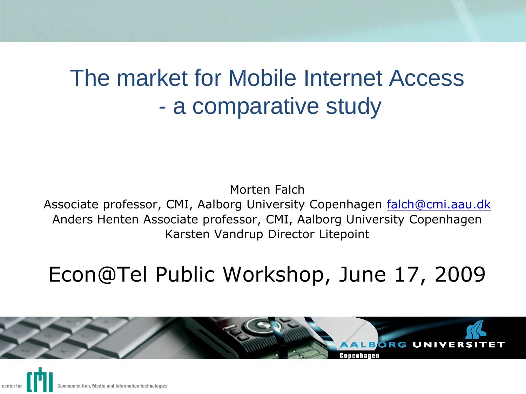# The market for Mobile Internet Access - a comparative study

#### Morten Falch Associate professor, CMI, Aalborg University Copenhagen [falch@cmi.aau.dk](mailto:falch@cmi.aau.dk) Anders Henten Associate professor, CMI, Aalborg University Copenhagen Karsten Vandrup Director Litepoint

# Econ@Tel Public Workshop, June 17, 2009



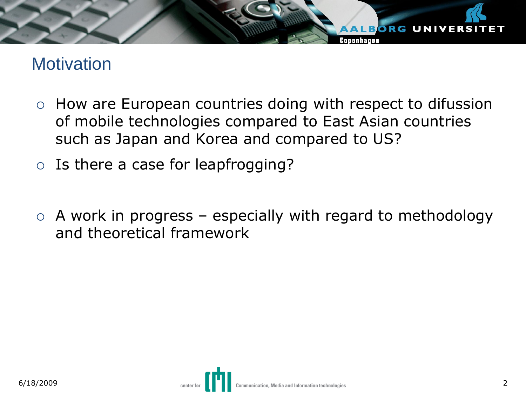# **Motivation**

 $\circ$  How are European countries doing with respect to difussion of mobile technologies compared to East Asian countries such as Japan and Korea and compared to US?

**ALBORG UNIVERS** 

Conenhauen

- $\circ$  Is there a case for leapfrogging?
- $\circ$  A work in progress especially with regard to methodology and theoretical framework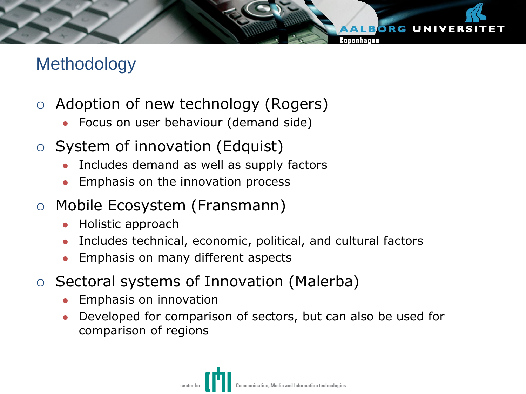# **Methodology**

- $\circ$  Adoption of new technology (Rogers)
	- Focus on user behaviour (demand side)
- $\circ$  System of innovation (Edquist)
	- Includes demand as well as supply factors
	- Emphasis on the innovation process
- Mobile Ecosystem (Fransmann)
	- Holistic approach
	- Includes technical, economic, political, and cultural factors

**LBORG UNIVERS** 

- Emphasis on many different aspects
- $\circ$  Sectoral systems of Innovation (Malerba)
	- Emphasis on innovation
	- Developed for comparison of sectors, but can also be used for comparison of regions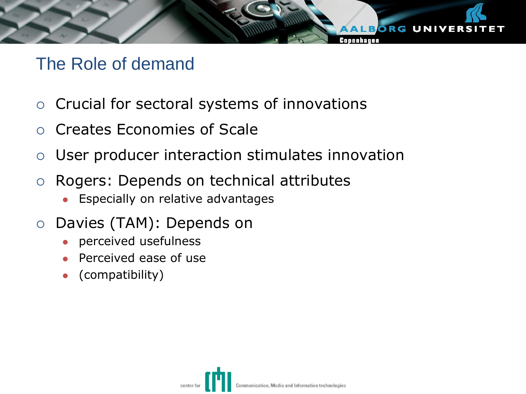# The Role of demand

- $\circ$  Crucial for sectoral systems of innovations
- Creates Economies of Scale
- User producer interaction stimulates innovation

ALBORG UNIVERS

- Rogers: Depends on technical attributes
	- **Especially on relative advantages**
- o Davies (TAM): Depends on
	- perceived usefulness
	- Perceived ease of use
	- (compatibility)

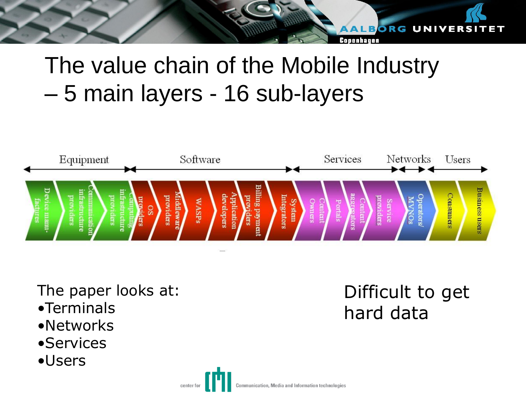# The value chain of the Mobile Industry – 5 main layers - 16 sub-layers



The paper looks at:

- •Terminals
- •Networks
- **•Services**
- •Users

# Difficult to get hard data

ALBORG UNIVERSI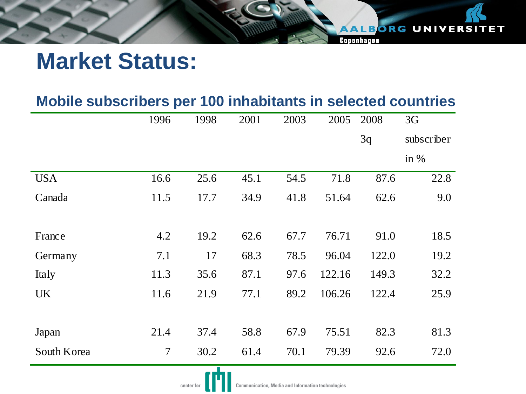| Mobile subscribers per 100 inhabitants in selected countries |  |  |  |  |  |
|--------------------------------------------------------------|--|--|--|--|--|
|--------------------------------------------------------------|--|--|--|--|--|

AALBORG UNIVERSITET

Copenhagen

|             | 1996                     | 1998 | 2001 | 2003 | 2005   | 2008  | 3G         |
|-------------|--------------------------|------|------|------|--------|-------|------------|
|             |                          |      |      |      |        | 3q    | subscriber |
|             |                          |      |      |      |        |       | in $%$     |
| <b>USA</b>  | 16.6                     | 25.6 | 45.1 | 54.5 | 71.8   | 87.6  | 22.8       |
| Canada      | 11.5                     | 17.7 | 34.9 | 41.8 | 51.64  | 62.6  | 9.0        |
|             |                          |      |      |      |        |       |            |
| France      | 4.2                      | 19.2 | 62.6 | 67.7 | 76.71  | 91.0  | 18.5       |
| Germany     | 7.1                      | 17   | 68.3 | 78.5 | 96.04  | 122.0 | 19.2       |
| Italy       | 11.3                     | 35.6 | 87.1 | 97.6 | 122.16 | 149.3 | 32.2       |
| <b>UK</b>   | 11.6                     | 21.9 | 77.1 | 89.2 | 106.26 | 122.4 | 25.9       |
|             |                          |      |      |      |        |       |            |
| Japan       | 21.4                     | 37.4 | 58.8 | 67.9 | 75.51  | 82.3  | 81.3       |
| South Korea | $\overline{\mathcal{L}}$ | 30.2 | 61.4 | 70.1 | 79.39  | 92.6  | 72.0       |
|             |                          |      |      |      |        |       |            |

center for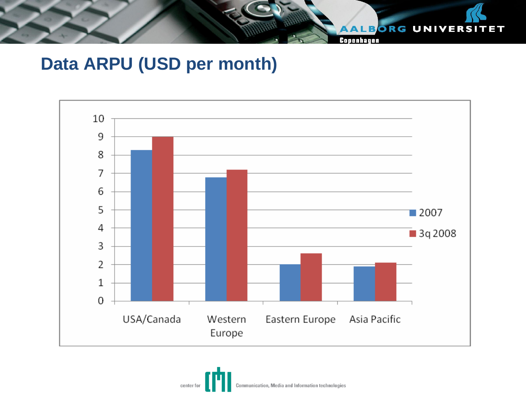

Copenhagen

# **Data ARPU (USD per month)**



Communication, Media and Information technologies center for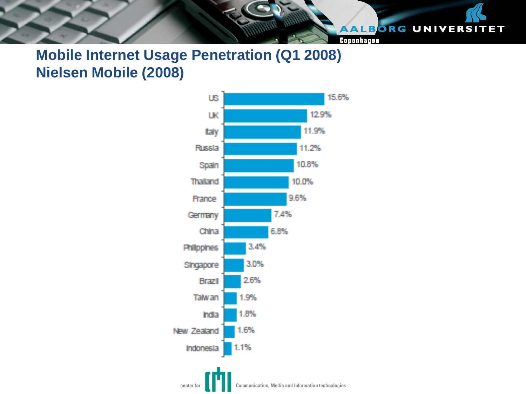#### AALBORG UNIVERSITET

Copenhagen

## **Mobile Internet Usage Penetration (Q1 2008) Nielsen Mobile (2008)**

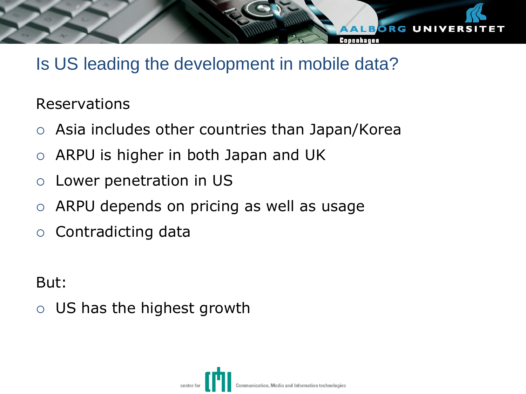# Is US leading the development in mobile data?

**ALBORG UNIVER** 

## Reservations

- Asia includes other countries than Japan/Korea
- $\circ$  ARPU is higher in both Japan and UK
- Lower penetration in US
- ARPU depends on pricing as well as usage
- $\circ$  Contradicting data

But:

US has the highest growth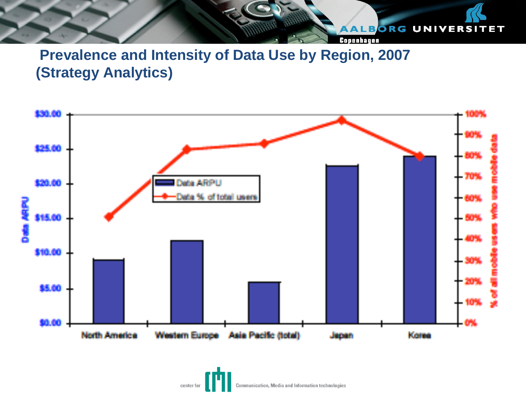#### AALBORG UNIVERSITET

Copenhagen

## **Prevalence and Intensity of Data Use by Region, 2007 (Strategy Analytics)**



Communication, Media and Information technologies center for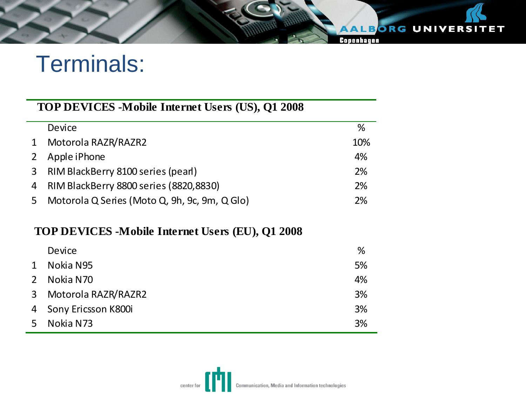# Terminals:

#### **TOP DEVICES -Mobile Internet Users (US), Q1 2008**

|              | Device                                        | ℅   |
|--------------|-----------------------------------------------|-----|
| $\mathbf{1}$ | Motorola RAZR/RAZR2                           | 10% |
| $2^{\circ}$  | Apple iPhone                                  | 4%  |
|              | 3 RIM BlackBerry 8100 series (pearl)          | 2%  |
|              | 4 RIM BlackBerry 8800 series (8820,8830)      | 2%  |
| 5            | Motorola Q Series (Moto Q, 9h, 9c, 9m, Q Glo) | 2%  |

#### **TOP DEVICES -Mobile Internet Users (EU), Q1 2008**

|                | Device                | %  |
|----------------|-----------------------|----|
| 1              | Nokia N95             | 5% |
|                | 2 Nokia N70           | 4% |
|                | 3 Motorola RAZR/RAZR2 | 3% |
|                | 4 Sony Ericsson K800i | 3% |
| 5 <sup>1</sup> | Nokia N73             | 3% |



AALBORG UNIVERSITET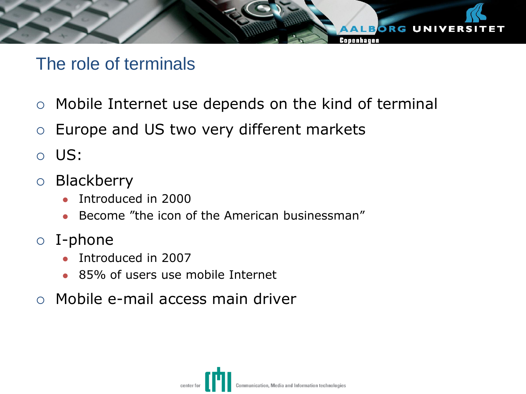# The role of terminals

 $\circ$  Mobile Internet use depends on the kind of terminal

ALBORG UNIVERSI

Conenhauen

- $\circ$  Europe and US two very different markets
- US:
- Blackberry
	- Introduced in 2000
	- Become "the icon of the American businessman"
- I-phone
	- Introduced in 2007
	- 85% of users use mobile Internet
- Mobile e-mail access main driver

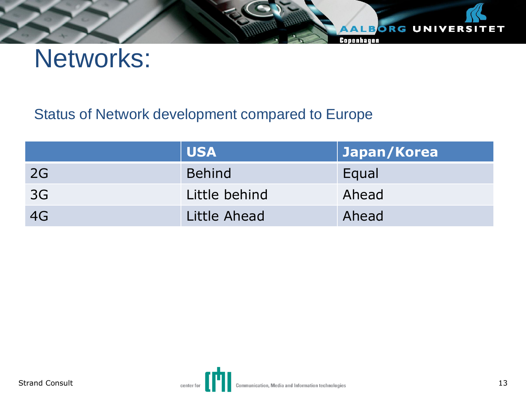Networks:

## Status of Network development compared to Europe

|           | <b>USA</b>    | Japan/Korea |
|-----------|---------------|-------------|
| <b>2G</b> | <b>Behind</b> | Equal       |
| 3G        | Little behind | Ahead       |
| 4G        | Little Ahead  | Ahead       |



AALBORG UNIVERSITET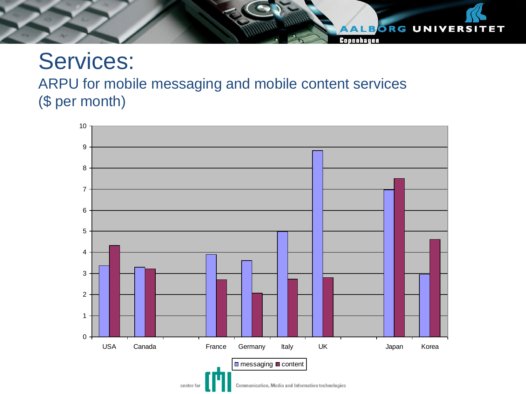# Services: ARPU for mobile messaging and mobile content services (\$ per month)



ALBORG UNIVERSITET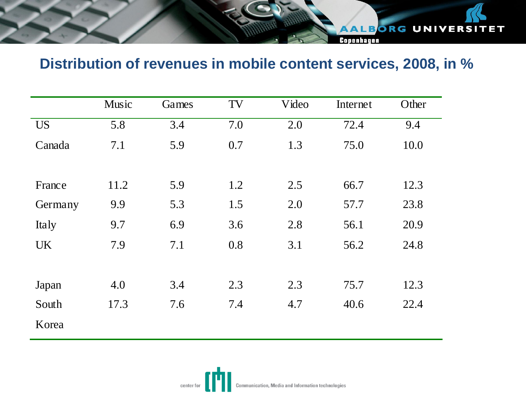# AALBORG UNIVERSITET Copenhagen

## **Distribution of revenues in mobile content services, 2008, in %**

|           | Music | Games | TV  | Video | Internet | Other |
|-----------|-------|-------|-----|-------|----------|-------|
| <b>US</b> | 5.8   | 3.4   | 7.0 | 2.0   | 72.4     | 9.4   |
| Canada    | 7.1   | 5.9   | 0.7 | 1.3   | 75.0     | 10.0  |
|           |       |       |     |       |          |       |
| France    | 11.2  | 5.9   | 1.2 | 2.5   | 66.7     | 12.3  |
| Germany   | 9.9   | 5.3   | 1.5 | 2.0   | 57.7     | 23.8  |
| Italy     | 9.7   | 6.9   | 3.6 | 2.8   | 56.1     | 20.9  |
| <b>UK</b> | 7.9   | 7.1   | 0.8 | 3.1   | 56.2     | 24.8  |
|           |       |       |     |       |          |       |
| Japan     | 4.0   | 3.4   | 2.3 | 2.3   | 75.7     | 12.3  |
| South     | 17.3  | 7.6   | 7.4 | 4.7   | 40.6     | 22.4  |
| Korea     |       |       |     |       |          |       |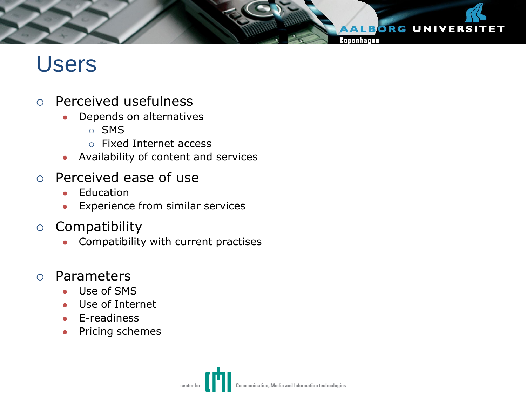# Users

- Perceived usefulness
	- Depends on alternatives
		- o SMS
		- Fixed Internet access
	- Availability of content and services
- Perceived ease of use
	- **•** Education
	- Experience from similar services
- $\circ$  Compatibility
	- Compatibility with current practises
- Parameters
	- Use of SMS
	- Use of Internet
	- E-readiness
	- Pricing schemes



**ALBORG UNIVERSITET**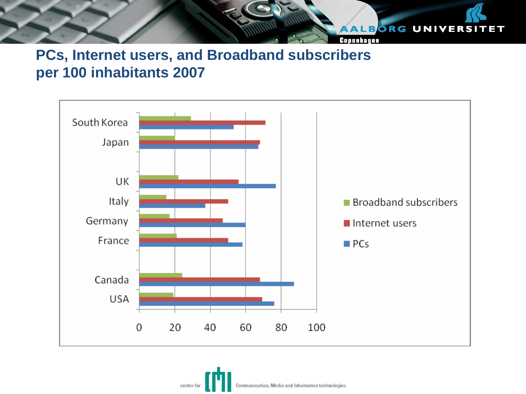

## **PCs, Internet users, and Broadband subscribers per 100 inhabitants 2007**



Communication, Media and Information technologies center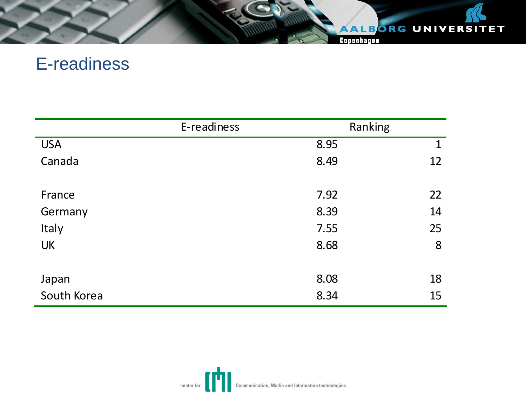### AALBORG UNIVERSITET

Copenhagen

# E-readiness

|             | E-readiness | Ranking     |
|-------------|-------------|-------------|
| <b>USA</b>  | 8.95        | $\mathbf 1$ |
| Canada      | 8.49        | 12          |
|             |             |             |
| France      | 7.92        | 22          |
| Germany     | 8.39        | 14          |
| Italy       | 7.55        | 25          |
| <b>UK</b>   | 8.68        | 8           |
|             |             |             |
| Japan       | 8.08        | 18          |
| South Korea | 8.34        | 15          |

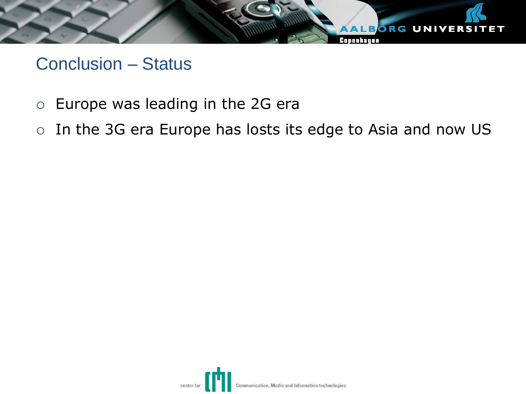

# Conclusion – Status

- Europe was leading in the 2G era
- o In the 3G era Europe has losts its edge to Asia and now US

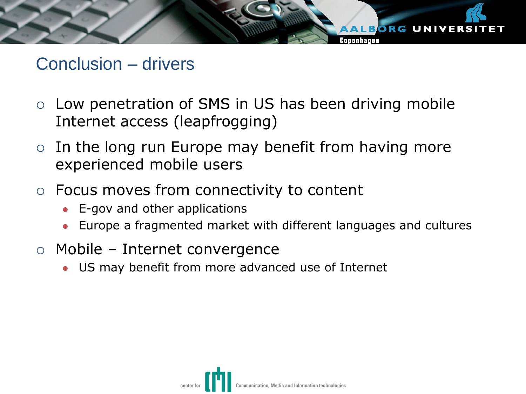# **ALBORG UNIVERS**

# Conclusion – drivers

- Low penetration of SMS in US has been driving mobile Internet access (leapfrogging)
- $\circ$  In the long run Europe may benefit from having more experienced mobile users
- Focus moves from connectivity to content
	- E-gov and other applications
	- Europe a fragmented market with different languages and cultures
- Mobile Internet convergence
	- US may benefit from more advanced use of Internet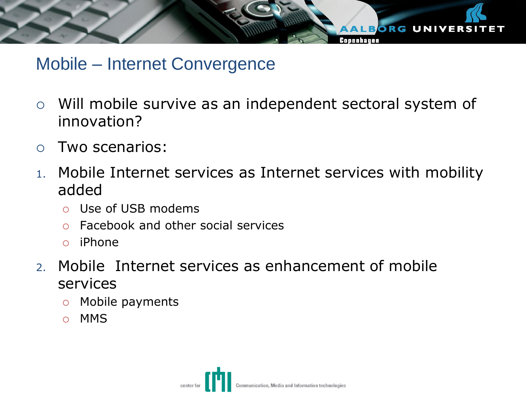

# Mobile – Internet Convergence

- Will mobile survive as an independent sectoral system of innovation?
- Two scenarios:
- 1. Mobile Internet services as Internet services with mobility added
	- Use of USB modems
	- Facebook and other social services
	- $\circ$  iPhone
- 2. Mobile Internet services as enhancement of mobile services
	- $\circ$  Mobile payments
	- o MMS